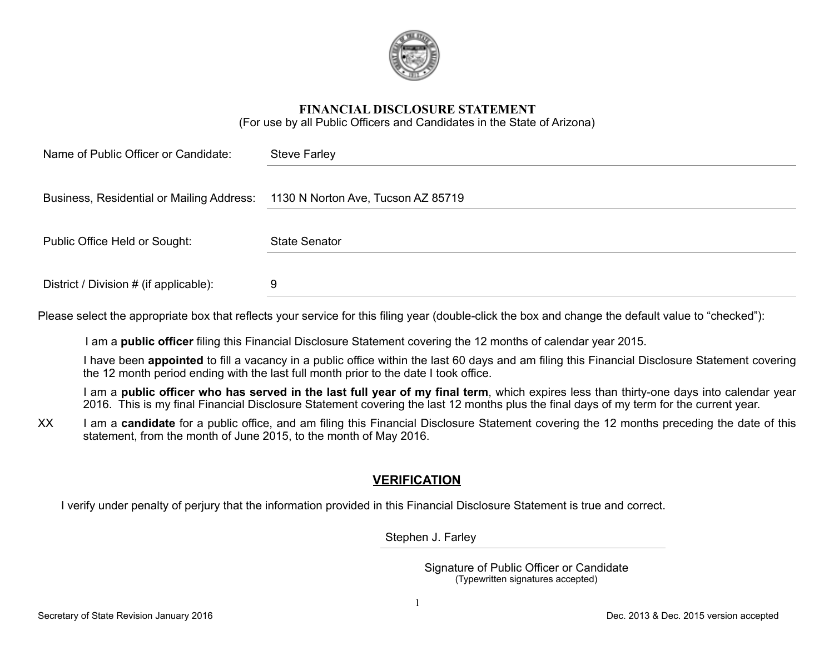

#### **FINANCIAL DISCLOSURE STATEMENT**  (For use by all Public Officers and Candidates in the State of Arizona)

| Name of Public Officer or Candidate:                                         | <b>Steve Farley</b>  |
|------------------------------------------------------------------------------|----------------------|
| Business, Residential or Mailing Address: 1130 N Norton Ave, Tucson AZ 85719 |                      |
| Public Office Held or Sought:                                                | <b>State Senator</b> |
| District / Division # (if applicable):                                       | 9                    |

Please select the appropriate box that reflects your service for this filing year (double-click the box and change the default value to "checked"):

I am a **public officer** filing this Financial Disclosure Statement covering the 12 months of calendar year 2015.

 I have been **appointed** to fill a vacancy in a public office within the last 60 days and am filing this Financial Disclosure Statement covering the 12 month period ending with the last full month prior to the date I took office.

 I am a **public officer who has served in the last full year of my final term**, which expires less than thirty-one days into calendar year 2016. This is my final Financial Disclosure Statement covering the last 12 months plus the final days of my term for the current year.

XX I am a **candidate** for a public office, and am filing this Financial Disclosure Statement covering the 12 months preceding the date of this statement, from the month of June 2015, to the month of May 2016.

## **VERIFICATION**

I verify under penalty of perjury that the information provided in this Financial Disclosure Statement is true and correct.

Stephen J. Farley

 Signature of Public Officer or Candidate (Typewritten signatures accepted)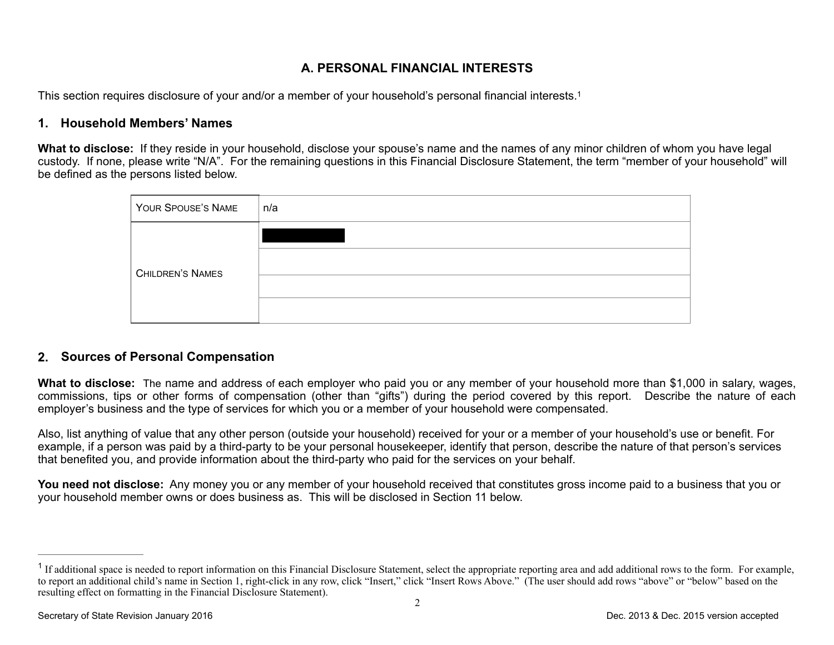# <span id="page-1-1"></span>**A. PERSONAL FINANCIAL INTERESTS**

This section requires disclosure of your and/or a member of your household's personal financial interests[.1](#page-1-0)

### **1. Household Members' Names**

**What to disclose:** If they reside in your household, disclose your spouse's name and the names of any minor children of whom you have legal custody. If none, please write "N/A". For the remaining questions in this Financial Disclosure Statement, the term "member of your household" will be defined as the persons listed below.

| YOUR SPOUSE'S NAME      | n/a |
|-------------------------|-----|
| <b>CHILDREN'S NAMES</b> |     |
|                         |     |
|                         |     |
|                         |     |

## **2. Sources of Personal Compensation**

**What to disclose:** The name and address of each employer who paid you or any member of your household more than \$1,000 in salary, wages, commissions, tips or other forms of compensation (other than "gifts") during the period covered by this report. Describe the nature of each employer's business and the type of services for which you or a member of your household were compensated.

Also, list anything of value that any other person (outside your household) received for your or a member of your household's use or benefit. For example, if a person was paid by a third-party to be your personal housekeeper, identify that person, describe the nature of that person's services that benefited you, and provide information about the third-party who paid for the services on your behalf.

You need not disclose: Any money you or any member of your household received that constitutes gross income paid to a business that you or your household member owns or does business as. This will be disclosed in Section 11 below.

<span id="page-1-0"></span><sup>&</sup>lt;sup>[1](#page-1-1)</sup> If additional space is needed to report information on this Financial Disclosure Statement, select the appropriate reporting area and add additional rows to the form. For example, to report an additional child's name in Section 1, right-click in any row, click "Insert," click "Insert Rows Above." (The user should add rows "above" or "below" based on the resulting effect on formatting in the Financial Disclosure Statement).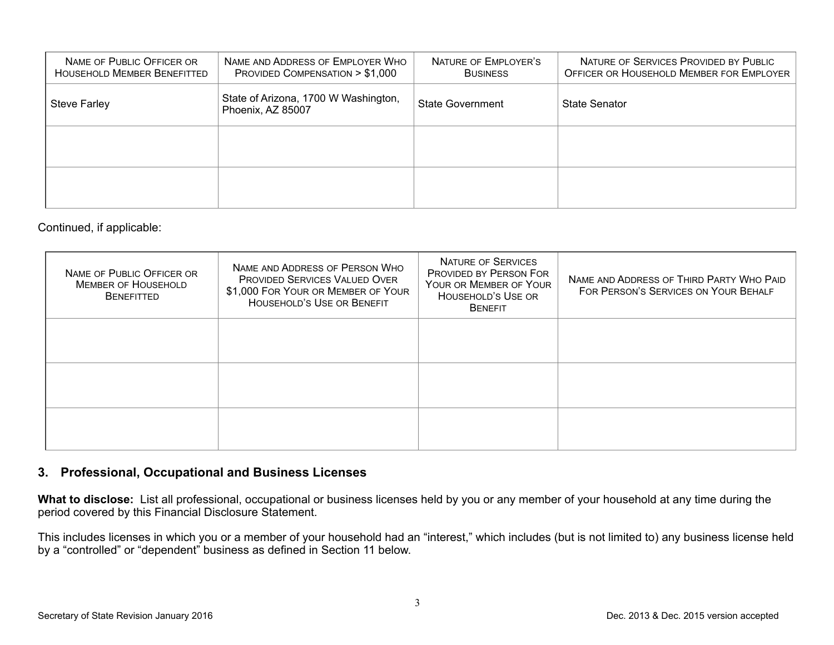| NAME OF PUBLIC OFFICER OR<br><b>HOUSEHOLD MEMBER BENEFITTED</b> | NAME AND ADDRESS OF EMPLOYER WHO<br>PROVIDED COMPENSATION > \$1,000                  | NATURE OF EMPLOYER'S<br><b>BUSINESS</b> | NATURE OF SERVICES PROVIDED BY PUBLIC<br>OFFICER OR HOUSEHOLD MEMBER FOR EMPLOYER |
|-----------------------------------------------------------------|--------------------------------------------------------------------------------------|-----------------------------------------|-----------------------------------------------------------------------------------|
| <b>Steve Farley</b>                                             | State of Arizona, 1700 W Washington,<br><b>State Government</b><br>Phoenix, AZ 85007 |                                         | <b>State Senator</b>                                                              |
|                                                                 |                                                                                      |                                         |                                                                                   |
|                                                                 |                                                                                      |                                         |                                                                                   |

#### Continued, if applicable:

| NAME OF PUBLIC OFFICER OR<br><b>MEMBER OF HOUSEHOLD</b><br><b>BENEFITTED</b> | NAME AND ADDRESS OF PERSON WHO<br><b>PROVIDED SERVICES VALUED OVER</b><br>\$1,000 FOR YOUR OR MEMBER OF YOUR<br><b>HOUSEHOLD'S USE OR BENEFIT</b> | <b>NATURE OF SERVICES</b><br>PROVIDED BY PERSON FOR<br>YOUR OR MEMBER OF YOUR<br>HOUSEHOLD'S USE OR<br><b>BENEFIT</b> | NAME AND ADDRESS OF THIRD PARTY WHO PAID<br>FOR PERSON'S SERVICES ON YOUR BEHALF |
|------------------------------------------------------------------------------|---------------------------------------------------------------------------------------------------------------------------------------------------|-----------------------------------------------------------------------------------------------------------------------|----------------------------------------------------------------------------------|
|                                                                              |                                                                                                                                                   |                                                                                                                       |                                                                                  |
|                                                                              |                                                                                                                                                   |                                                                                                                       |                                                                                  |
|                                                                              |                                                                                                                                                   |                                                                                                                       |                                                                                  |

## **3. Professional, Occupational and Business Licenses**

**What to disclose:** List all professional, occupational or business licenses held by you or any member of your household at any time during the period covered by this Financial Disclosure Statement.

This includes licenses in which you or a member of your household had an "interest," which includes (but is not limited to) any business license held by a "controlled" or "dependent" business as defined in Section 11 below.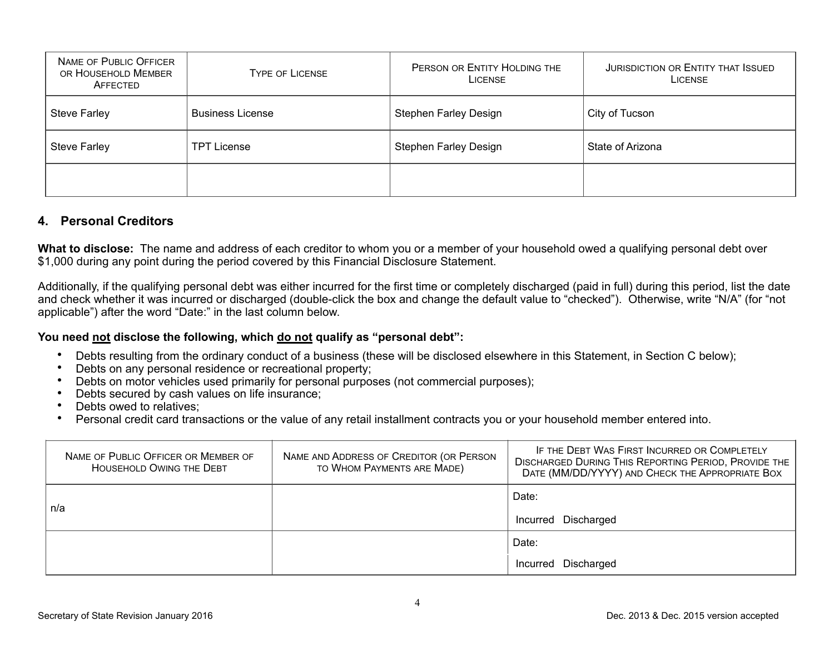| NAME OF PUBLIC OFFICER<br>OR HOUSEHOLD MEMBER<br>AFFECTED | <b>TYPE OF LICENSE</b>  | PERSON OR ENTITY HOLDING THE<br>LICENSE | <b>JURISDICTION OR ENTITY THAT ISSUED</b><br><b>LICENSE</b> |
|-----------------------------------------------------------|-------------------------|-----------------------------------------|-------------------------------------------------------------|
| <b>Steve Farley</b>                                       | <b>Business License</b> | Stephen Farley Design                   | City of Tucson                                              |
| <b>Steve Farley</b>                                       | <b>TPT License</b>      | <b>Stephen Farley Design</b>            | State of Arizona                                            |
|                                                           |                         |                                         |                                                             |

## **4. Personal Creditors**

**What to disclose:** The name and address of each creditor to whom you or a member of your household owed a qualifying personal debt over \$1,000 during any point during the period covered by this Financial Disclosure Statement.

Additionally, if the qualifying personal debt was either incurred for the first time or completely discharged (paid in full) during this period, list the date and check whether it was incurred or discharged (double-click the box and change the default value to "checked"). Otherwise, write "N/A" (for "not applicable") after the word "Date:" in the last column below.

#### **You need not disclose the following, which do not qualify as "personal debt":**

- Debts resulting from the ordinary conduct of a business (these will be disclosed elsewhere in this Statement, in Section C below);
- Debts on any personal residence or recreational property;
- Debts on motor vehicles used primarily for personal purposes (not commercial purposes);
- Debts secured by cash values on life insurance;
- Debts owed to relatives;
- Personal credit card transactions or the value of any retail installment contracts you or your household member entered into.

| NAME OF PUBLIC OFFICER OR MEMBER OF<br><b>HOUSEHOLD OWING THE DEBT</b> | NAME AND ADDRESS OF CREDITOR (OR PERSON<br>TO WHOM PAYMENTS ARE MADE) | IF THE DEBT WAS FIRST INCURRED OR COMPLETELY<br><b>DISCHARGED DURING THIS REPORTING PERIOD, PROVIDE THE</b><br>DATE (MM/DD/YYYY) AND CHECK THE APPROPRIATE BOX |
|------------------------------------------------------------------------|-----------------------------------------------------------------------|----------------------------------------------------------------------------------------------------------------------------------------------------------------|
|                                                                        |                                                                       | Date:                                                                                                                                                          |
| n/a                                                                    |                                                                       | Incurred Discharged                                                                                                                                            |
|                                                                        |                                                                       | Date:                                                                                                                                                          |
|                                                                        |                                                                       | Discharged<br>Incurred                                                                                                                                         |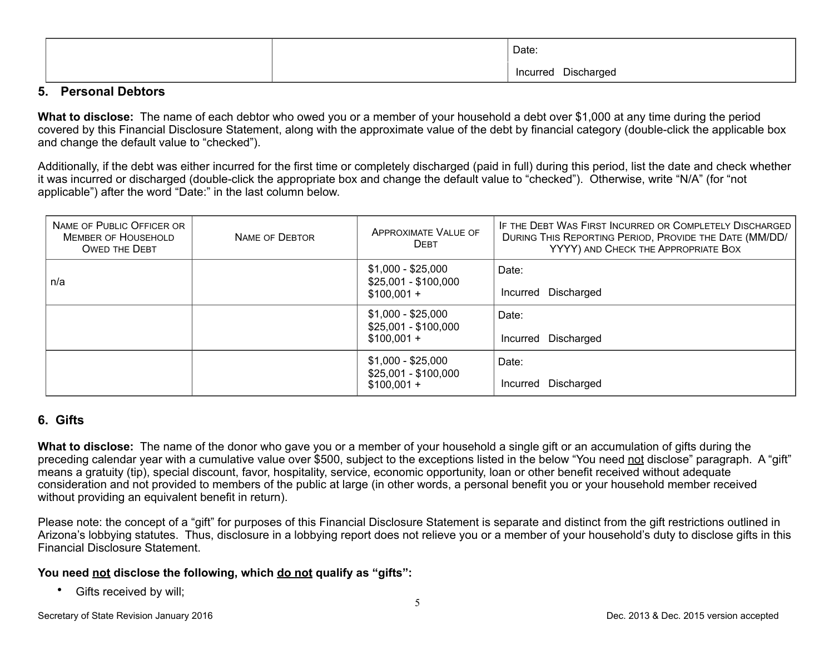|  | Date:               |
|--|---------------------|
|  | Incurred Discharged |

### **5. Personal Debtors**

**What to disclose:** The name of each debtor who owed you or a member of your household a debt over \$1,000 at any time during the period covered by this Financial Disclosure Statement, along with the approximate value of the debt by financial category (double-click the applicable box and change the default value to "checked").

Additionally, if the debt was either incurred for the first time or completely discharged (paid in full) during this period, list the date and check whether it was incurred or discharged (double-click the appropriate box and change the default value to "checked"). Otherwise, write "N/A" (for "not applicable") after the word "Date:" in the last column below.

| NAME OF PUBLIC OFFICER OR<br><b>MEMBER OF HOUSEHOLD</b><br><b>OWED THE DEBT</b> | <b>NAME OF DEBTOR</b> | APPROXIMATE VALUE OF<br><b>DEBT</b>                        | IF THE DEBT WAS FIRST INCURRED OR COMPLETELY DISCHARGED<br>DURING THIS REPORTING PERIOD, PROVIDE THE DATE (MM/DD/<br>YYYY) AND CHECK THE APPROPRIATE BOX |
|---------------------------------------------------------------------------------|-----------------------|------------------------------------------------------------|----------------------------------------------------------------------------------------------------------------------------------------------------------|
| n/a                                                                             |                       | \$1,000 - \$25,000<br>$$25,001 - $100,000$<br>$$100,001 +$ | Date:<br>Incurred Discharged                                                                                                                             |
|                                                                                 |                       | $$1,000 - $25,000$<br>$$25,001 - $100,000$<br>$$100,001 +$ | Date:<br>Incurred Discharged                                                                                                                             |
|                                                                                 |                       | \$1,000 - \$25,000<br>$$25,001 - $100,000$<br>$$100,001 +$ | Date:<br>Incurred Discharged                                                                                                                             |

## **6. Gifts**

**What to disclose:** The name of the donor who gave you or a member of your household a single gift or an accumulation of gifts during the preceding calendar year with a cumulative value over \$500, subject to the exceptions listed in the below "You need not disclose" paragraph. A "gift" means a gratuity (tip), special discount, favor, hospitality, service, economic opportunity, loan or other benefit received without adequate consideration and not provided to members of the public at large (in other words, a personal benefit you or your household member received without providing an equivalent benefit in return).

Please note: the concept of a "gift" for purposes of this Financial Disclosure Statement is separate and distinct from the gift restrictions outlined in Arizona's lobbying statutes. Thus, disclosure in a lobbying report does not relieve you or a member of your household's duty to disclose gifts in this Financial Disclosure Statement.

## **You need not disclose the following, which do not qualify as "gifts":**

• Gifts received by will;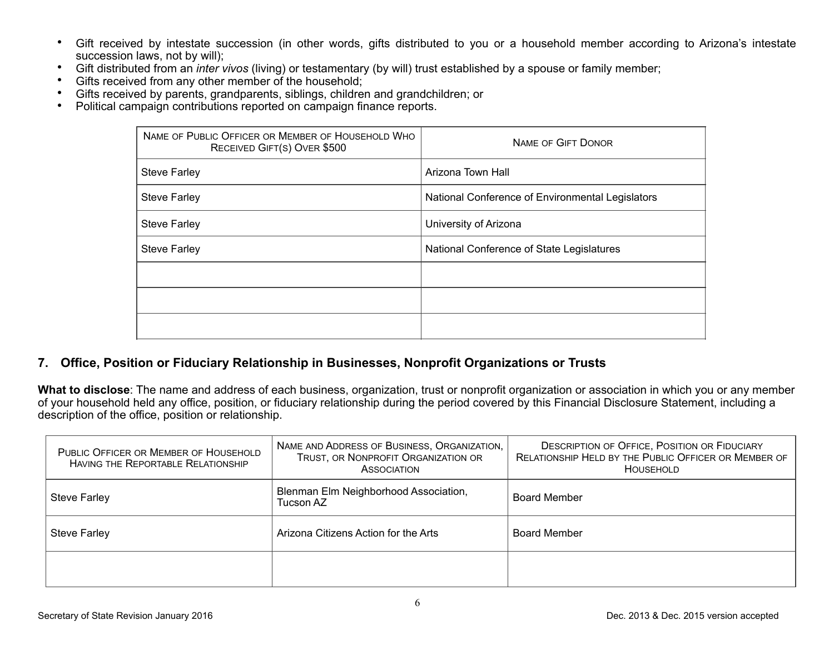- Gift received by intestate succession (in other words, gifts distributed to you or a household member according to Arizona's intestate succession laws, not by will);
- Gift distributed from an *inter vivos* (living) or testamentary (by will) trust established by a spouse or family member;
- Gifts received from any other member of the household;
- Gifts received by parents, grandparents, siblings, children and grandchildren; or
- Political campaign contributions reported on campaign finance reports.

| NAME OF PUBLIC OFFICER OR MEMBER OF HOUSEHOLD WHO<br>RECEIVED GIFT(S) OVER \$500 | <b>NAME OF GIFT DONOR</b>                        |
|----------------------------------------------------------------------------------|--------------------------------------------------|
| <b>Steve Farley</b>                                                              | Arizona Town Hall                                |
| <b>Steve Farley</b>                                                              | National Conference of Environmental Legislators |
| <b>Steve Farley</b>                                                              | University of Arizona                            |
| <b>Steve Farley</b>                                                              | National Conference of State Legislatures        |
|                                                                                  |                                                  |
|                                                                                  |                                                  |
|                                                                                  |                                                  |

## **7. Office, Position or Fiduciary Relationship in Businesses, Nonprofit Organizations or Trusts**

**What to disclose**: The name and address of each business, organization, trust or nonprofit organization or association in which you or any member of your household held any office, position, or fiduciary relationship during the period covered by this Financial Disclosure Statement, including a description of the office, position or relationship.

| PUBLIC OFFICER OR MEMBER OF HOUSEHOLD<br>HAVING THE REPORTABLE RELATIONSHIP | NAME AND ADDRESS OF BUSINESS, ORGANIZATION,<br>TRUST, OR NONPROFIT ORGANIZATION OR<br><b>ASSOCIATION</b> | <b>DESCRIPTION OF OFFICE, POSITION OR FIDUCIARY</b><br>RELATIONSHIP HELD BY THE PUBLIC OFFICER OR MEMBER OF<br><b>HOUSEHOLD</b> |
|-----------------------------------------------------------------------------|----------------------------------------------------------------------------------------------------------|---------------------------------------------------------------------------------------------------------------------------------|
| Steve Farley                                                                | Blenman Elm Neighborhood Association,<br>Tucson AZ                                                       | <b>Board Member</b>                                                                                                             |
| <b>Steve Farley</b>                                                         | Arizona Citizens Action for the Arts                                                                     | <b>Board Member</b>                                                                                                             |
|                                                                             |                                                                                                          |                                                                                                                                 |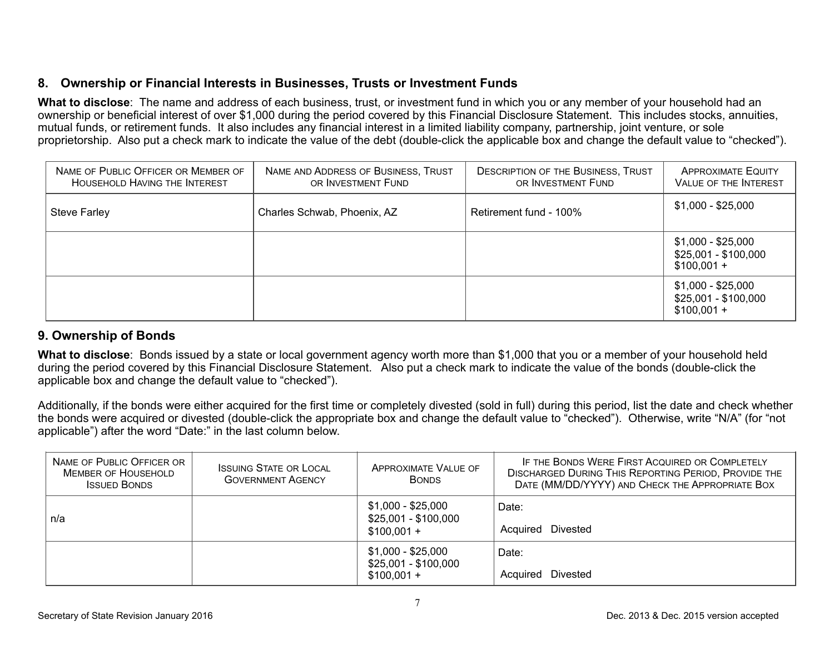# **8. Ownership or Financial Interests in Businesses, Trusts or Investment Funds**

**What to disclose**: The name and address of each business, trust, or investment fund in which you or any member of your household had an ownership or beneficial interest of over \$1,000 during the period covered by this Financial Disclosure Statement. This includes stocks, annuities, mutual funds, or retirement funds. It also includes any financial interest in a limited liability company, partnership, joint venture, or sole proprietorship. Also put a check mark to indicate the value of the debt (double-click the applicable box and change the default value to "checked").

| NAME OF PUBLIC OFFICER OR MEMBER OF<br><b>HOUSEHOLD HAVING THE INTEREST</b> | NAME AND ADDRESS OF BUSINESS, TRUST<br>OR INVESTMENT FUND | <b>DESCRIPTION OF THE BUSINESS, TRUST</b><br>OR INVESTMENT FUND | <b>APPROXIMATE EQUITY</b><br><b>VALUE OF THE INTEREST</b>  |
|-----------------------------------------------------------------------------|-----------------------------------------------------------|-----------------------------------------------------------------|------------------------------------------------------------|
| <b>Steve Farley</b>                                                         | Charles Schwab, Phoenix, AZ                               | Retirement fund - 100%                                          | $$1,000 - $25,000$                                         |
|                                                                             |                                                           |                                                                 | $$1,000 - $25,000$<br>$$25,001 - $100,000$<br>$$100,001 +$ |
|                                                                             |                                                           |                                                                 | $$1,000 - $25,000$<br>$$25,001 - $100,000$<br>$$100,001 +$ |

## **9. Ownership of Bonds**

**What to disclose**: Bonds issued by a state or local government agency worth more than \$1,000 that you or a member of your household held during the period covered by this Financial Disclosure Statement. Also put a check mark to indicate the value of the bonds (double-click the applicable box and change the default value to "checked").

Additionally, if the bonds were either acquired for the first time or completely divested (sold in full) during this period, list the date and check whether the bonds were acquired or divested (double-click the appropriate box and change the default value to "checked"). Otherwise, write "N/A" (for "not applicable") after the word "Date:" in the last column below.

| NAME OF PUBLIC OFFICER OR<br><b>MEMBER OF HOUSEHOLD</b><br><b>ISSUED BONDS</b> | <b>ISSUING STATE OR LOCAL</b><br><b>GOVERNMENT AGENCY</b> | <b>APPROXIMATE VALUE OF</b><br><b>BONDS</b>                | IF THE BONDS WERE FIRST ACQUIRED OR COMPLETELY<br><b>DISCHARGED DURING THIS REPORTING PERIOD, PROVIDE THE</b><br>DATE (MM/DD/YYYY) AND CHECK THE APPROPRIATE BOX |
|--------------------------------------------------------------------------------|-----------------------------------------------------------|------------------------------------------------------------|------------------------------------------------------------------------------------------------------------------------------------------------------------------|
| n/a                                                                            |                                                           | \$1,000 - \$25,000<br>\$25,001 - \$100,000<br>$$100,001 +$ | Date:<br>Acquired Divested                                                                                                                                       |
|                                                                                |                                                           | \$1,000 - \$25,000<br>\$25,001 - \$100,000<br>$$100.001 +$ | Date:<br>Acquired Divested                                                                                                                                       |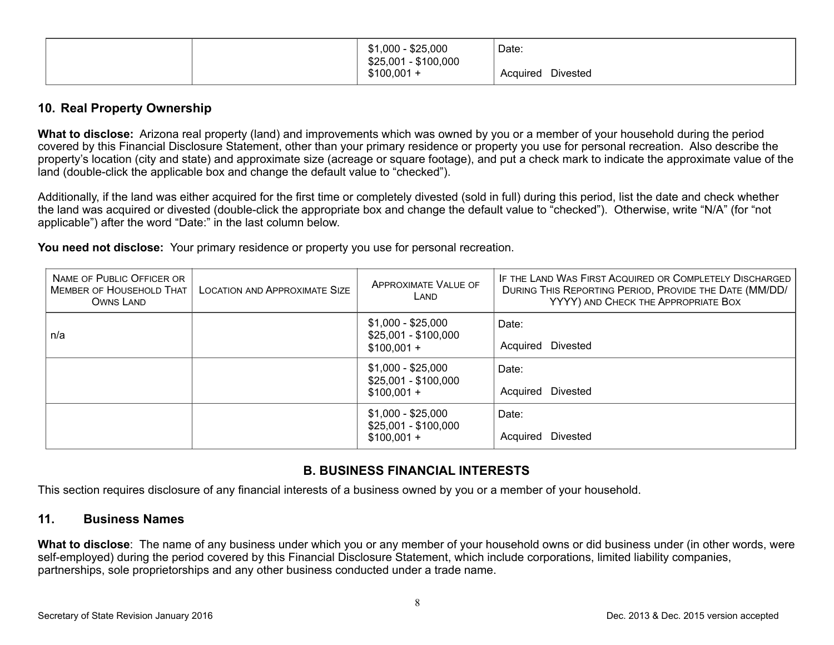| $-$ \$25,000<br>\$1,000<br>$\sim$<br>\$25,001 - \$100,000 | Date:                       |
|-----------------------------------------------------------|-----------------------------|
| \$100,001                                                 | <b>Divested</b><br>Acquired |

### **10. Real Property Ownership**

**What to disclose:** Arizona real property (land) and improvements which was owned by you or a member of your household during the period covered by this Financial Disclosure Statement, other than your primary residence or property you use for personal recreation. Also describe the property's location (city and state) and approximate size (acreage or square footage), and put a check mark to indicate the approximate value of the land (double-click the applicable box and change the default value to "checked").

Additionally, if the land was either acquired for the first time or completely divested (sold in full) during this period, list the date and check whether the land was acquired or divested (double-click the appropriate box and change the default value to "checked"). Otherwise, write "N/A" (for "not applicable") after the word "Date:" in the last column below.

**You need not disclose:** Your primary residence or property you use for personal recreation.

| NAME OF PUBLIC OFFICER OR<br><b>MEMBER OF HOUSEHOLD THAT</b><br>OWNS LAND | <b>LOCATION AND APPROXIMATE SIZE</b> | <b>APPROXIMATE VALUE OF</b><br>LAND                        | IF THE LAND WAS FIRST ACQUIRED OR COMPLETELY DISCHARGED<br>DURING THIS REPORTING PERIOD, PROVIDE THE DATE (MM/DD/<br>YYYY) AND CHECK THE APPROPRIATE BOX |
|---------------------------------------------------------------------------|--------------------------------------|------------------------------------------------------------|----------------------------------------------------------------------------------------------------------------------------------------------------------|
| n/a                                                                       |                                      | \$1,000 - \$25,000<br>$$25,001 - $100,000$<br>$$100,001 +$ | Date:<br>Acquired Divested                                                                                                                               |
|                                                                           |                                      | \$1,000 - \$25,000<br>$$25,001 - $100,000$<br>$$100,001 +$ | Date:<br>Acquired Divested                                                                                                                               |
|                                                                           |                                      | \$1,000 - \$25,000<br>$$25,001 - $100,000$<br>$$100,001 +$ | Date:<br>Divested<br>Acquired                                                                                                                            |

## **B. BUSINESS FINANCIAL INTERESTS**

This section requires disclosure of any financial interests of a business owned by you or a member of your household.

## **11. Business Names**

**What to disclose**: The name of any business under which you or any member of your household owns or did business under (in other words, were self-employed) during the period covered by this Financial Disclosure Statement, which include corporations, limited liability companies, partnerships, sole proprietorships and any other business conducted under a trade name.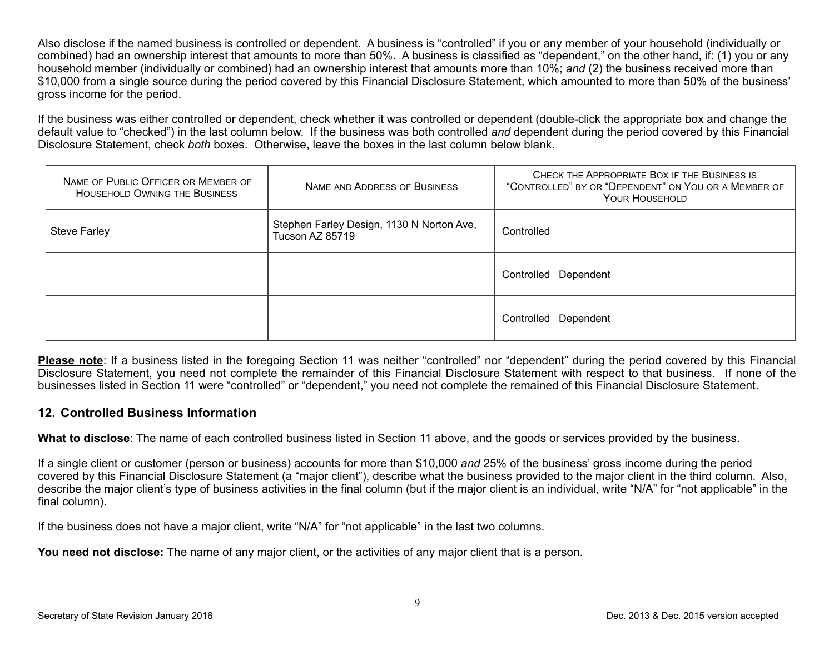Also disclose if the named business is controlled or dependent. A business is "controlled" if you or any member of your household (individually or combined) had an ownership interest that amounts to more than 50%. A business is classified as "dependent," on the other hand, if: (1) you or any household member (individually or combined) had an ownership interest that amounts more than 10%; *and* (2) the business received more than \$10,000 from a single source during the period covered by this Financial Disclosure Statement, which amounted to more than 50% of the business' gross income for the period.

If the business was either controlled or dependent, check whether it was controlled or dependent (double-click the appropriate box and change the default value to "checked") in the last column below. If the business was both controlled *and* dependent during the period covered by this Financial Disclosure Statement, check *both* boxes. Otherwise, leave the boxes in the last column below blank.

| NAME OF PUBLIC OFFICER OR MEMBER OF<br><b>HOUSEHOLD OWNING THE BUSINESS</b> | NAME AND ADDRESS OF BUSINESS                                 | CHECK THE APPROPRIATE BOX IF THE BUSINESS IS<br>"CONTROLLED" BY OR "DEPENDENT" ON YOU OR A MEMBER OF<br><b>YOUR HOUSEHOLD</b> |
|-----------------------------------------------------------------------------|--------------------------------------------------------------|-------------------------------------------------------------------------------------------------------------------------------|
| <b>Steve Farley</b>                                                         | Stephen Farley Design, 1130 N Norton Ave,<br>Tucson AZ 85719 | Controlled                                                                                                                    |
|                                                                             |                                                              | Controlled Dependent                                                                                                          |
|                                                                             |                                                              | Controlled<br>Dependent                                                                                                       |

**Please note**: If a business listed in the foregoing Section 11 was neither "controlled" nor "dependent" during the period covered by this Financial Disclosure Statement, you need not complete the remainder of this Financial Disclosure Statement with respect to that business. If none of the businesses listed in Section 11 were "controlled" or "dependent," you need not complete the remained of this Financial Disclosure Statement.

#### **12. Controlled Business Information**

**What to disclose**: The name of each controlled business listed in Section 11 above, and the goods or services provided by the business.

If a single client or customer (person or business) accounts for more than \$10,000 *and* 25% of the business' gross income during the period covered by this Financial Disclosure Statement (a "major client"), describe what the business provided to the major client in the third column. Also, describe the major client's type of business activities in the final column (but if the major client is an individual, write "N/A" for "not applicable" in the final column).

If the business does not have a major client, write "N/A" for "not applicable" in the last two columns.

You need not disclose: The name of any major client, or the activities of any major client that is a person.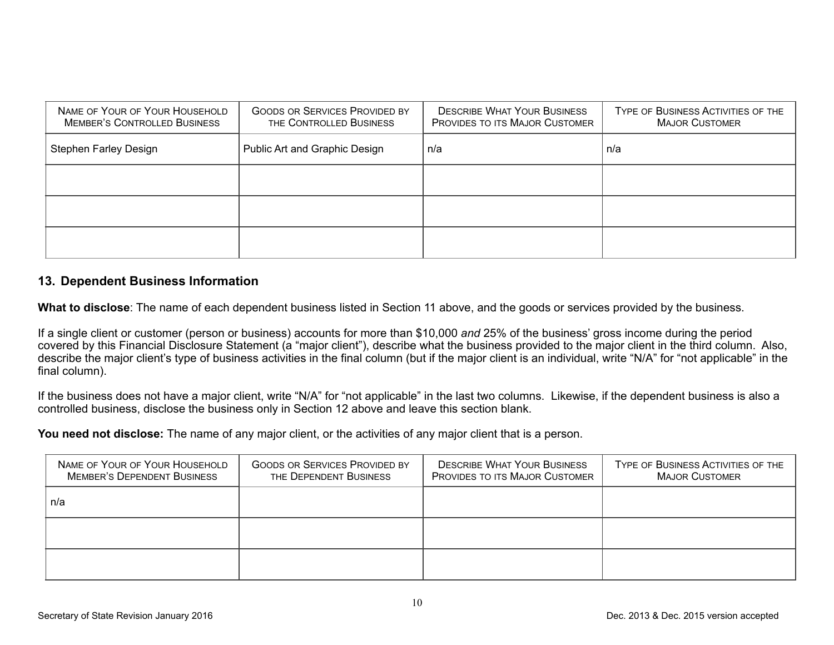| NAME OF YOUR OF YOUR HOUSEHOLD<br><b>MEMBER'S CONTROLLED BUSINESS</b> | <b>GOODS OR SERVICES PROVIDED BY</b><br>THE CONTROLLED BUSINESS | <b>DESCRIBE WHAT YOUR BUSINESS</b><br><b>PROVIDES TO ITS MAJOR CUSTOMER</b> | TYPE OF BUSINESS ACTIVITIES OF THE<br><b>MAJOR CUSTOMER</b> |
|-----------------------------------------------------------------------|-----------------------------------------------------------------|-----------------------------------------------------------------------------|-------------------------------------------------------------|
| <b>Stephen Farley Design</b>                                          | Public Art and Graphic Design                                   | n/a                                                                         | n/a                                                         |
|                                                                       |                                                                 |                                                                             |                                                             |
|                                                                       |                                                                 |                                                                             |                                                             |
|                                                                       |                                                                 |                                                                             |                                                             |

### **13. Dependent Business Information**

**What to disclose**: The name of each dependent business listed in Section 11 above, and the goods or services provided by the business.

If a single client or customer (person or business) accounts for more than \$10,000 *and* 25% of the business' gross income during the period covered by this Financial Disclosure Statement (a "major client"), describe what the business provided to the major client in the third column. Also, describe the major client's type of business activities in the final column (but if the major client is an individual, write "N/A" for "not applicable" in the final column).

If the business does not have a major client, write "N/A" for "not applicable" in the last two columns. Likewise, if the dependent business is also a controlled business, disclose the business only in Section 12 above and leave this section blank.

**You need not disclose:** The name of any major client, or the activities of any major client that is a person.

| NAME OF YOUR OF YOUR HOUSEHOLD<br><b>MEMBER'S DEPENDENT BUSINESS</b> | <b>GOODS OR SERVICES PROVIDED BY</b><br>THE DEPENDENT BUSINESS | <b>DESCRIBE WHAT YOUR BUSINESS</b><br><b>PROVIDES TO ITS MAJOR CUSTOMER</b> | TYPE OF BUSINESS ACTIVITIES OF THE<br><b>MAJOR CUSTOMER</b> |
|----------------------------------------------------------------------|----------------------------------------------------------------|-----------------------------------------------------------------------------|-------------------------------------------------------------|
| n/a                                                                  |                                                                |                                                                             |                                                             |
|                                                                      |                                                                |                                                                             |                                                             |
|                                                                      |                                                                |                                                                             |                                                             |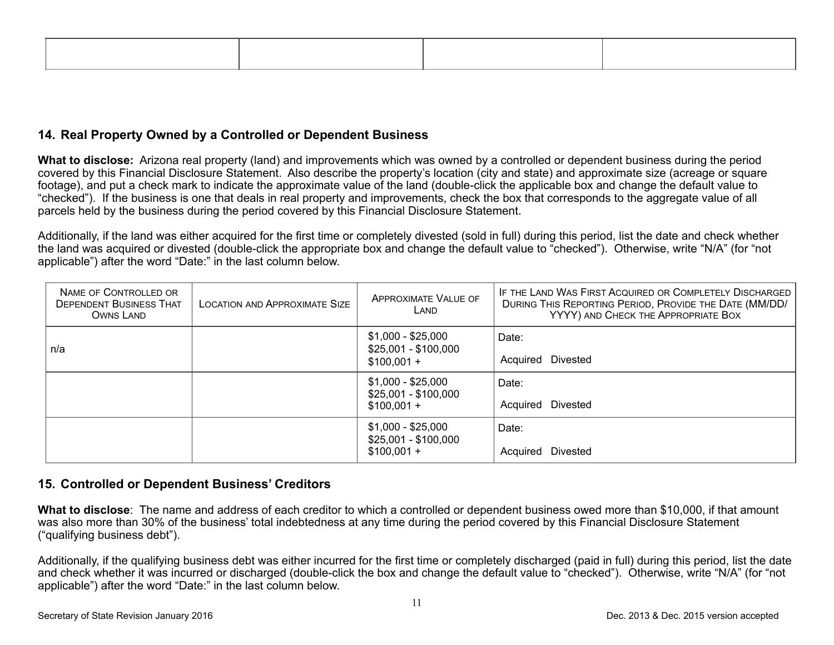## **14. Real Property Owned by a Controlled or Dependent Business**

**What to disclose:** Arizona real property (land) and improvements which was owned by a controlled or dependent business during the period covered by this Financial Disclosure Statement. Also describe the property's location (city and state) and approximate size (acreage or square footage), and put a check mark to indicate the approximate value of the land (double-click the applicable box and change the default value to "checked"). If the business is one that deals in real property and improvements, check the box that corresponds to the aggregate value of all parcels held by the business during the period covered by this Financial Disclosure Statement.

Additionally, if the land was either acquired for the first time or completely divested (sold in full) during this period, list the date and check whether the land was acquired or divested (double-click the appropriate box and change the default value to "checked"). Otherwise, write "N/A" (for "not applicable") after the word "Date:" in the last column below.

| NAME OF CONTROLLED OR<br><b>DEPENDENT BUSINESS THAT</b><br>OWNS LAND | <b>LOCATION AND APPROXIMATE SIZE</b> | <b>APPROXIMATE VALUE OF</b><br>LAND                        | IF THE LAND WAS FIRST ACQUIRED OR COMPLETELY DISCHARGED<br>DURING THIS REPORTING PERIOD, PROVIDE THE DATE (MM/DD/<br>YYYY) AND CHECK THE APPROPRIATE BOX |
|----------------------------------------------------------------------|--------------------------------------|------------------------------------------------------------|----------------------------------------------------------------------------------------------------------------------------------------------------------|
| n/a                                                                  |                                      | \$1,000 - \$25,000<br>$$25,001 - $100,000$<br>$$100,001 +$ | Date:<br>Acquired Divested                                                                                                                               |
|                                                                      |                                      | $$1,000 - $25,000$<br>$$25,001 - $100,000$<br>$$100,001 +$ | Date:<br>Acquired Divested                                                                                                                               |
|                                                                      |                                      | \$1,000 - \$25,000<br>$$25,001 - $100,000$<br>$$100,001 +$ | Date:<br>Divested<br>Acquired                                                                                                                            |

## **15. Controlled or Dependent Business' Creditors**

**What to disclose**: The name and address of each creditor to which a controlled or dependent business owed more than \$10,000, if that amount was also more than 30% of the business' total indebtedness at any time during the period covered by this Financial Disclosure Statement ("qualifying business debt").

Additionally, if the qualifying business debt was either incurred for the first time or completely discharged (paid in full) during this period, list the date and check whether it was incurred or discharged (double-click the box and change the default value to "checked"). Otherwise, write "N/A" (for "not applicable") after the word "Date:" in the last column below.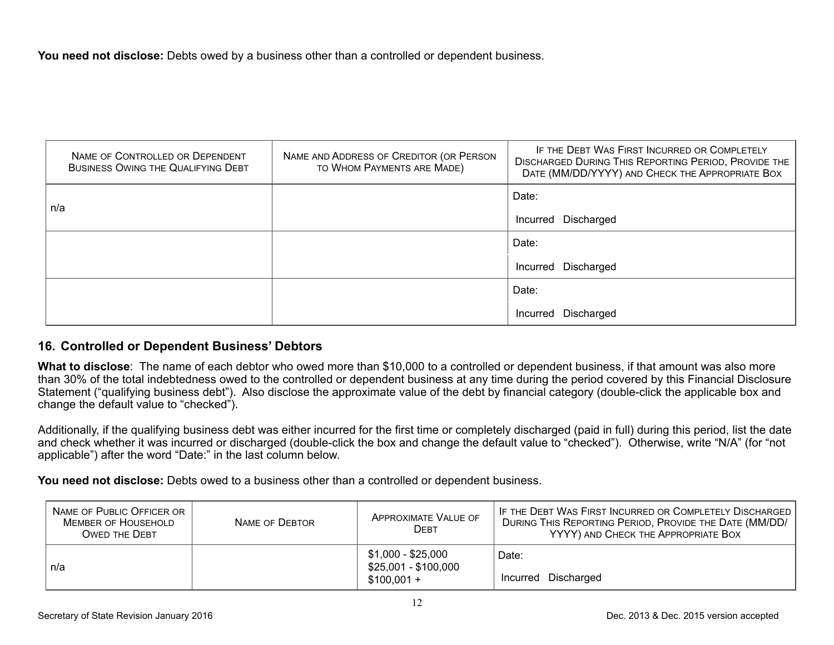**You need not disclose:** Debts owed by a business other than a controlled or dependent business.

| NAME OF CONTROLLED OR DEPENDENT<br><b>BUSINESS OWING THE QUALIFYING DEBT</b> | NAME AND ADDRESS OF CREDITOR (OR PERSON<br>TO WHOM PAYMENTS ARE MADE) | IF THE DEBT WAS FIRST INCURRED OR COMPLETELY<br><b>DISCHARGED DURING THIS REPORTING PERIOD, PROVIDE THE</b><br>DATE (MM/DD/YYYY) AND CHECK THE APPROPRIATE BOX |
|------------------------------------------------------------------------------|-----------------------------------------------------------------------|----------------------------------------------------------------------------------------------------------------------------------------------------------------|
|                                                                              |                                                                       | Date:                                                                                                                                                          |
| n/a                                                                          |                                                                       | Incurred Discharged                                                                                                                                            |
|                                                                              |                                                                       | Date:                                                                                                                                                          |
|                                                                              |                                                                       | Incurred Discharged                                                                                                                                            |
|                                                                              |                                                                       | Date:                                                                                                                                                          |
|                                                                              |                                                                       | Discharged<br>Incurred                                                                                                                                         |

#### **16. Controlled or Dependent Business' Debtors**

**What to disclose**: The name of each debtor who owed more than \$10,000 to a controlled or dependent business, if that amount was also more than 30% of the total indebtedness owed to the controlled or dependent business at any time during the period covered by this Financial Disclosure Statement ("qualifying business debt"). Also disclose the approximate value of the debt by financial category (double-click the applicable box and change the default value to "checked").

Additionally, if the qualifying business debt was either incurred for the first time or completely discharged (paid in full) during this period, list the date and check whether it was incurred or discharged (double-click the box and change the default value to "checked"). Otherwise, write "N/A" (for "not applicable") after the word "Date:" in the last column below.

**You need not disclose:** Debts owed to a business other than a controlled or dependent business.

| NAME OF PUBLIC OFFICER OR<br><b>MEMBER OF HOUSEHOLD</b><br><b>OWED THE DEBT</b> | NAME OF DEBTOR | <b>APPROXIMATE VALUE OF</b><br><b>DEBT</b>                 | IF THE DEBT WAS FIRST INCURRED OR COMPLETELY DISCHARGED<br>DURING THIS REPORTING PERIOD, PROVIDE THE DATE (MM/DD/<br>YYYY) AND CHECK THE APPROPRIATE BOX |
|---------------------------------------------------------------------------------|----------------|------------------------------------------------------------|----------------------------------------------------------------------------------------------------------------------------------------------------------|
| n/a                                                                             |                | \$1,000 - \$25,000<br>\$25,001 - \$100,000<br>$$100,001 +$ | Date:<br>Incurred Discharged                                                                                                                             |